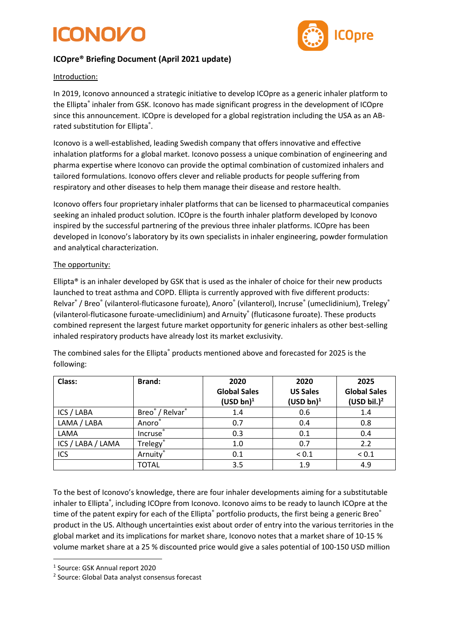## ICONOZI



## **ICOpre® Briefing Document (April 2021 update)**

### Introduction:

In 2019, Iconovo announced a strategic initiative to develop ICOpre as a generic inhaler platform to the Ellipta® inhaler from GSK. Iconovo has made significant progress in the development of ICOpre since this announcement. ICOpre is developed for a global registration including the USA as an ABrated substitution for Ellipta<sup>®</sup>.

Iconovo is a well-established, leading Swedish company that offers innovative and effective inhalation platforms for a global market. Iconovo possess a unique combination of engineering and pharma expertise where Iconovo can provide the optimal combination of customized inhalers and tailored formulations. Iconovo offers clever and reliable products for people suffering from respiratory and other diseases to help them manage their disease and restore health.

Iconovo offers four proprietary inhaler platforms that can be licensed to pharmaceutical companies seeking an inhaled product solution. ICOpre is the fourth inhaler platform developed by Iconovo inspired by the successful partnering of the previous three inhaler platforms. ICOpre has been developed in Iconovo's laboratory by its own specialists in inhaler engineering, powder formulation and analytical characterization.

### The opportunity:

Ellipta<sup>®</sup> is an inhaler developed by GSK that is used as the inhaler of choice for their new products launched to treat asthma and COPD. Ellipta is currently approved with five different products: Relvar<sup>®</sup> / Breo<sup>®</sup> (vilanterol-fluticasone furoate), Anoro<sup>®</sup> (vilanterol), Incruse® (umeclidinium), Trelegy® (vilanterol-fluticasone furoate-umeclidinium) and Arnuity® (fluticasone furoate). These products combined represent the largest future market opportunity for generic inhalers as other best-selling inhaled respiratory products have already lost its market exclusivity.

The combined sales for the Ellipta<sup>®</sup> products mentioned above and forecasted for 2025 is the following:

| Class:            | <b>Brand:</b>                           | 2020<br><b>Global Sales</b> | 2020<br><b>US Sales</b> | 2025<br><b>Global Sales</b> |
|-------------------|-----------------------------------------|-----------------------------|-------------------------|-----------------------------|
|                   |                                         | $(USD bn)^1$                | $(USD bn)^1$            | $(USD)$ bil.) <sup>2</sup>  |
| ICS / LABA        | Breo <sup>®</sup> / Relvar <sup>®</sup> | 1.4                         | 0.6                     | 1.4                         |
| LAMA / LABA       | Anoro®                                  | 0.7                         | 0.4                     | 0.8                         |
| LAMA              | Incruse®                                | 0.3                         | 0.1                     | 0.4                         |
| ICS / LABA / LAMA | Trelegy®                                | 1.0                         | 0.7                     | 2.2                         |
| ICS               | Arnuity®                                | 0.1                         | ${}_{0.1}$              | ${}< 0.1$                   |
|                   | <b>TOTAL</b>                            | 3.5                         | 1.9                     | 4.9                         |

To the best of Iconovo's knowledge, there are four inhaler developments aiming for a substitutable inhaler to Ellipta®, including ICOpre from Iconovo. Iconovo aims to be ready to launch ICOpre at the time of the patent expiry for each of the Ellipta® portfolio products, the first being a generic Breo® product in the US. Although uncertainties exist about order of entry into the various territories in the global market and its implications for market share, Iconovo notes that a market share of 10-15 % volume market share at a 25 % discounted price would give a sales potential of 100-150 USD million

<sup>1</sup> Source: GSK Annual report 2020

<sup>2</sup> Source: Global Data analyst consensus forecast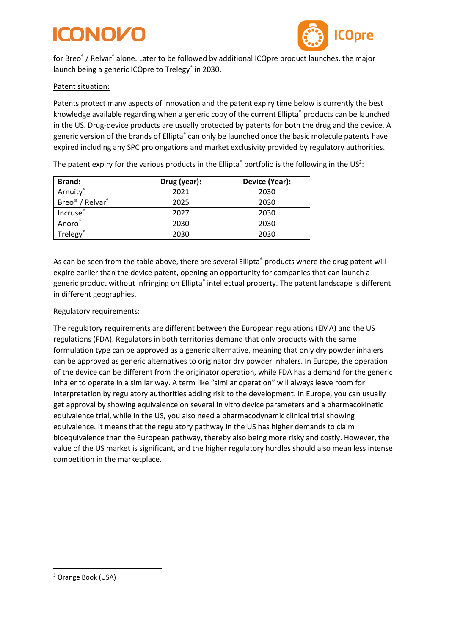## ICONOLO



for Breo® / Relvar® alone. Later to be followed by additional ICOpre product launches, the major launch being a generic ICOpre to Trelegy® in 2030.

### Patent situation:

Patents protect many aspects of innovation and the patent expiry time below is currently the best knowledge available regarding when a generic copy of the current Ellipta® products can be launched in the US. Drug-device products are usually protected by patents for both the drug and the device. A generic version of the brands of Ellipta<sup>®</sup> can only be launched once the basic molecule patents have expired including any SPC prolongations and market exclusivity provided by regulatory authorities.

The patent expiry for the various products in the Ellipta<sup>®</sup> portfolio is the following in the US<sup>3</sup>:

| <b>Brand:</b>                           | Drug (year): | Device (Year): |
|-----------------------------------------|--------------|----------------|
| Arnuity®                                | 2021         | 2030           |
| Breo <sup>®</sup> / Relvar <sup>®</sup> | 2025         | 2030           |
| Incruse®                                | 2027         | 2030           |
| Anoro®                                  | 2030         | 2030           |
| <b>Trelegy</b> ®                        | 2030         | 2030           |

As can be seen from the table above, there are several Ellipta<sup>®</sup> products where the drug patent will expire earlier than the device patent, opening an opportunity for companies that can launch a generic product without infringing on Ellipta<sup>®</sup> intellectual property. The patent landscape is different in different geographies.

#### Regulatory requirements:

The regulatory requirements are different between the European regulations (EMA) and the US regulations (FDA). Regulators in both territories demand that only products with the same formulation type can be approved as a generic alternative, meaning that only dry powder inhalers can be approved as generic alternatives to originator dry powder inhalers. In Europe, the operation of the device can be different from the originator operation, while FDA has a demand for the generic inhaler to operate in a similar way. A term like "similar operation" will always leave room for interpretation by regulatory authorities adding risk to the development. In Europe, you can usually get approval by showing equivalence on several in vitro device parameters and a pharmacokinetic equivalence trial, while in the US, you also need a pharmacodynamic clinical trial showing equivalence. It means that the regulatory pathway in the US has higher demands to claim bioequivalence than the European pathway, thereby also being more risky and costly. However, the value of the US market is significant, and the higher regulatory hurdles should also mean less intense competition in the marketplace.

<sup>3</sup> Orange Book (USA)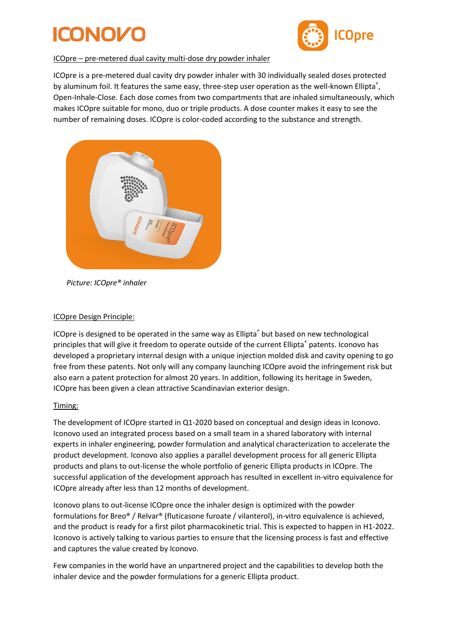# ICONOLA



### ICOpre – pre-metered dual cavity multi-dose dry powder inhaler

ICOpre is a pre-metered dual cavity dry powder inhaler with 30 individually sealed doses protected by aluminum foil. It features the same easy, three-step user operation as the well-known Ellipta<sup>®</sup>, Open-Inhale-Close. Each dose comes from two compartments that are inhaled simultaneously, which makes ICOpre suitable for mono, duo or triple products. A dose counter makes it easy to see the number of remaining doses. ICOpre is color-coded according to the substance and strength.



 *Picture: ICOpre® inhaler*

### ICOpre Design Principle:

ICOpre is designed to be operated in the same way as Ellipta® but based on new technological principles that will give it freedom to operate outside of the current Ellipta® patents. Iconovo has developed a proprietary internal design with a unique injection molded disk and cavity opening to go free from these patents. Not only will any company launching ICOpre avoid the infringement risk but also earn a patent protection for almost 20 years. In addition, following its heritage in Sweden, ICOpre has been given a clean attractive Scandinavian exterior design.

### Timing:

The development of ICOpre started in Q1-2020 based on conceptual and design ideas in Iconovo. Iconovo used an integrated process based on a small team in a shared laboratory with internal experts in inhaler engineering, powder formulation and analytical characterization to accelerate the product development. Iconovo also applies a parallel development process for all generic Ellipta products and plans to out-license the whole portfolio of generic Ellipta products in ICOpre. The successful application of the development approach has resulted in excellent in-vitro equivalence for ICOpre already after less than 12 months of development.

Iconovo plans to out-license ICOpre once the inhaler design is optimized with the powder formulations for Breo® / Relvar® (fluticasone furoate / vilanterol), in-vitro equivalence is achieved, and the product is ready for a first pilot pharmacokinetic trial. This is expected to happen in H1-2022. Iconovo is actively talking to various parties to ensure that the licensing process is fast and effective and captures the value created by Iconovo.

Few companies in the world have an unpartnered project and the capabilities to develop both the inhaler device and the powder formulations for a generic Ellipta product.